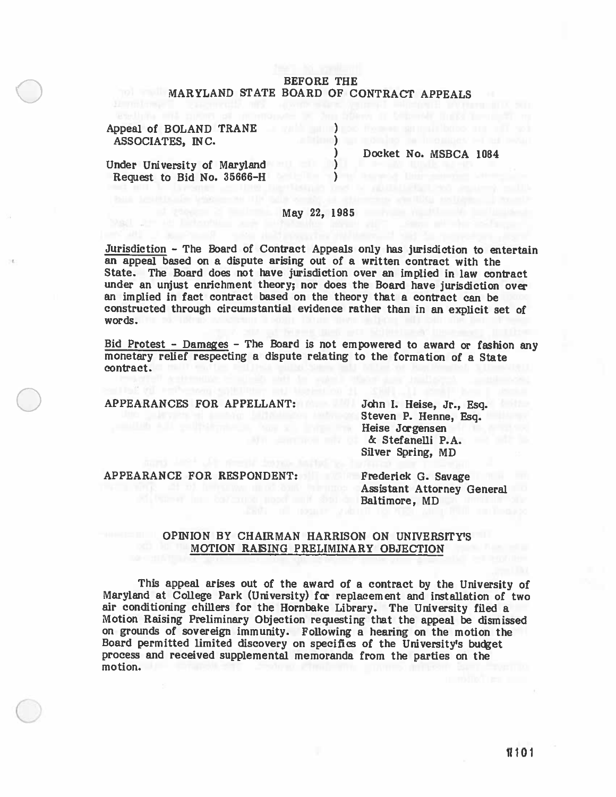## BEFORE THE MARYLAND STATE BOARD OF CONTRACT APPEALS

Appeal of BOLAND TRANE (1999) and the set of  $\overline{B}$ ASSOCIATES, INC.

Docket No. MSBCA 1084

Under University of Maryland () Request to Bid No. 35666-H

# May 22, 1985

Jurisdiction — The Board of Contract Appeals only has jurisdiction to entertain an appeal based on <sup>a</sup> dispute arising out of <sup>a</sup> written contract with the State. The Board does not have jurisdiction over an implied in law contract under an unjust enrichment theory; nor does the Board have jurisdiction over an implied in fact contract based on the theory that <sup>a</sup> contract can be constructed through circumstantial evidence rather than in an explicit set of words.

Bid Protest - Damages - The Board is not empowered to award or fashion any monetary relief respecting a dispute relating to the formation of a State contract.

APPEARANCES FOR APPELLANT: John I. Heise, Jr., Esq.

Steven P. Henne, Esq. Heise Jorgensen & Stefanelli P.A. Silver Spring, MD

APPEARANCE FOR RESPONDENT: Frederick G. Savage

**Assistant Attorney General** Baltimore, MD

### OPINION BY CHAIRMAN HARRISON ON UNIVERSITY'S MOTION RAISING PRELIMINARY OBJECTION

This appea<sup>l</sup> arises out of the award of <sup>a</sup> contract by the University of Maryland at College Park (University) for replacement and installation of two air conditioning chillers for the Hornbake Library. The University filed <sup>a</sup> Motion Raising Preliminary Objection requesting that the appea<sup>l</sup> be dismissed on grounds of sovereign immunity. Following <sup>a</sup> hearing on the motion the Board permitted limited discovery on specifics of the University's budget process and received supplemental memoranda from the parties on the motion.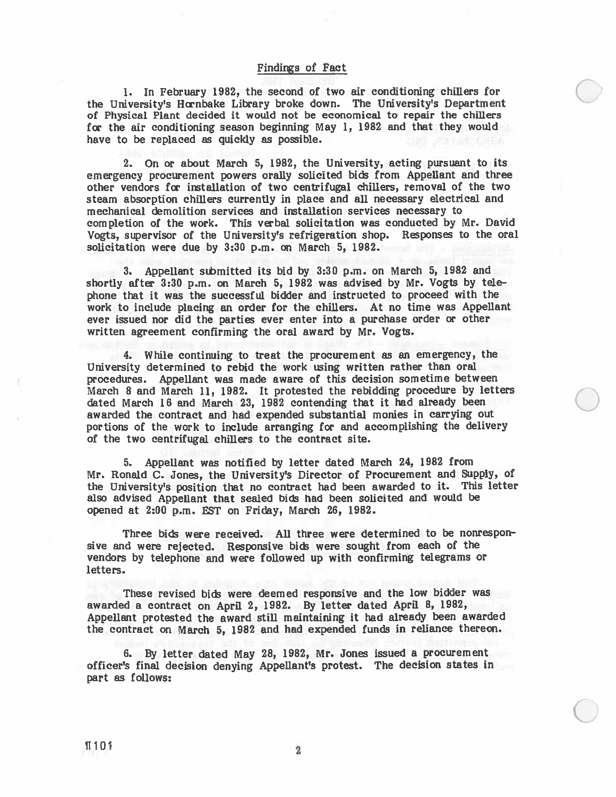1. In February 1982, the second of two air conditioning chillers for ) the University's Hornbake Library broke down. The University's Department of Physical Plant decided it would not be economical to repair the chillers for the air conditioning season beginning May 1, 1982 and that they would have to be replaced as quickly as possible.

2. On or about March 5, 1982, the University, acting pursuan<sup>t</sup> to its emergency procuremen<sup>t</sup> powers orally solicited bids from Appellant and three other vendors for installation of two centrifugal chillers, removal of the two steam absorption chillers currently in place and all necessary electrical and mechanical demolition services and installation services necessary to completion of the work. This verbal solicitation was conducted by Mr. David Vogts, supervisor of the University's refrigeration shop. Responses to the oral solicitation were due by 3:30 p.m. on March 5, 1982.

3. Appellant submitted its bid by 3:30 p.m. on March 5, 1982 and shortly after 3:30 p.m. on March 5, <sup>1982</sup> was advised by Mr. Vogts by tele <sup>p</sup>hone that it was the successful bidder and instructed to procee<sup>d</sup> with the work to include <sup>p</sup>lacing an order for the chillers. At no time was Appellant ever issued nor did the parties ever enter into a purchase order or other written agreemen<sup>t</sup> confirming the oral award by Mr. Vogts.

4. While continuing to treat the procuremen<sup>t</sup> as an emergency, the University determined to rebid the work using written rather than oral procedures. Appellant was made aware of this decision sometime between March <sup>8</sup> and March 11, 1982. It protested the rebidding procedure by letters dated March <sup>16</sup> and March 23, <sup>1982</sup> contending that it had already been awarded the contract and had expended substantial monies in carrying out portions of the work to include arranging for and accomplishing the delivery of the two centrifugal chillers to the contract site.

5. Appellant was notified by letter dated March 24, <sup>1982</sup> from Mr. Ronald C. Jones, the University's Director of Procurement and Supply, of the University's position that no contract had been awarded to it. This letter also advised Appellant that sealed bids had been solicited and would be opened at 2:00 p.m. EST on Friday, March 26, 1982.

Three bids were received. All three were determined to be nonresponsive and were rejected. Responsive bids were sought from each of the vendors by telephone and were followed up with confirming telegrams or letters.

These revised bids were deemed responsive and the low bidder was awarded <sup>a</sup> contract on April 2, 1982. By letter dated April 8, 1982, Appellant protested the award still maintaining it had already been awarded the contract on March 5, 1982 and had expended funds in reliance thereon.

6. By letter dated May 28, 1982, Mr. Jones issued <sup>a</sup> procuremen<sup>t</sup> officer's final decision denying Appellant's protest. The decision states in par<sup>t</sup> as follows:

 $\bigcirc$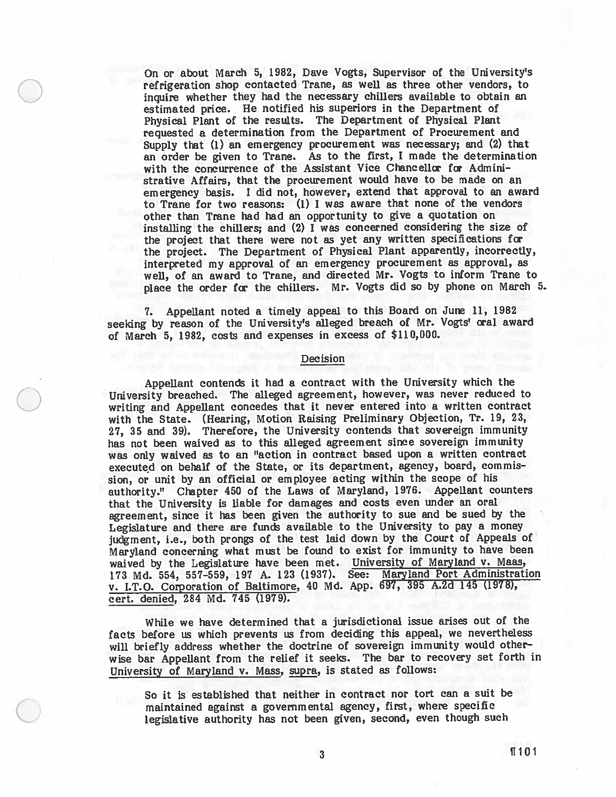On or about March 5, 1982, Dave Vogts, Supervisor of the University's refrigeration shop contacted Trane, as well as three other vendors, to inquire whether they had the necessary chillers available to obtain an estimated price. He notified his superiors in the Department of Physical Plant of the results. The Department of Physical Plant requested <sup>a</sup> determination from the Department of Procurement and Supply that (1) an emergency procuremen<sup>t</sup> was necessary; and (2) that an order be <sup>g</sup>iven to Trane. As to the first, <sup>I</sup> made the determination with the concurrence of the Assistant Vice Chancellor for Admini strative Affairs, that the procuremen<sup>t</sup> would have to be made on an emergency basis. <sup>I</sup> did not, however, extend that approva<sup>l</sup> to an award to Trane for two reasons: (1) <sup>I</sup> was aware that none of the vendors other than Trane had had an opportunity to give a quotation on installing the chillers; and (2) <sup>I</sup> was concerned considering the size of the project that there were not as ye<sup>t</sup> any written specifications for the project. The Department of Physical Plant apparently, incorrectly, interpreted my approva<sup>l</sup> of an emergency procuremen<sup>t</sup> as approval, as well, of an award to Trane, and directed Mr. Vogts to inform Trane to <sup>p</sup>lace the order for the chillers. Mr. Vogts did so by <sup>p</sup>hone on March 5.

7. Appellant noted <sup>a</sup> timely appea<sup>l</sup> to this Board on June 11, 1982 seeking by reason of the University's alleged breach of Mr. Vogts' oral award of March 5, 1982, costs and expenses in excess of \$110,000.

#### Decision

Appellant contends it had <sup>a</sup> contract with the University which the University breached. The alleged agreement, however, was never reduced to writing and Appellant concedes that it never entered into <sup>a</sup> written contract with the State. (Hearing, Motion Raising Preliminary Objection, Tr. 19, 23, 27, <sup>35</sup> and 39). Therefore, the University contends that sovereign immunity has not been waived as to this alleged agreemen<sup>t</sup> since sovereign immunity was only waived as to an "action in contract based upon <sup>a</sup> written contract executed on behalf of the State, or its department, agency, board, commis sion, or unit by an official or employee acting within the scope of his authority." Chapter <sup>450</sup> of the Laws of Maryland, 1976. Appellant counters that the University is liable for damages and costs even under an oral agreement, since it has been <sup>g</sup>iven the authority to sue and be sued by the Legislature and there are funds available to the University to pay <sup>a</sup> money judgment, i.e., both prongs of the test laid down by the Court of Appeals of Maryland concerning what must be found to exist for immunity to have been waived by the Legislature have been met. University of Maryland v. Maas, <sup>173</sup> Md. 554, 557—559, <sup>197</sup> A. <sup>123</sup> (1937). See: Maryland Port Administration v. I.T.O. Corporation of Baltimore, <sup>40</sup> Md. App. 697, <sup>395</sup> A.2d <sup>145</sup> (1978), cert. denied, 284 Md. 745 (1979).

While we have determined that <sup>a</sup> jurisdictional issue arises out of the facts before us which prevents us from deciding this appeal, we nevertheless will briefly address whether the doctrine of sovereign immunity would other wise bar Appellant from the relief it seeks. The bar to recovery set forth in University of Maryland v. Mass, supra, is stated as follows:

So it is established that neither in contract nor tort can <sup>a</sup> suit be maintained against <sup>a</sup> governmental agency, first, where specific legislative authority has not been <sup>g</sup>iven, second, even though such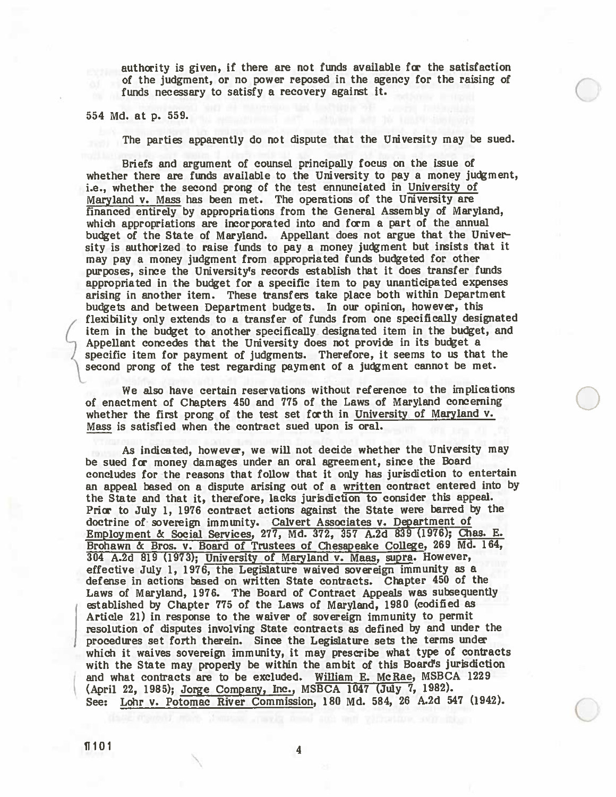authority is <sup>g</sup>iven, if there are not funds available for the satisfaction of the judgment, or no power reposed in the agency for the raising of  $\Box$ funds necessary to satisfy a recovery against it.

<sup>554</sup> Md. at p. 559.

The parties apparently do not dispute that the University may be sued.

Briefs and argumen<sup>t</sup> of counsel principally focus on the issue of whether there are funds available to the University to pay <sup>a</sup> money judgment, i.e., whether the second prong of the test ennunciated in University of Maryland v. Mass has been met. The operations of the University are financed entirely by appropriations from the General Assembly of Maryland, which appropriations are incorporated into and form <sup>a</sup> par<sup>t</sup> of the annual budget of the State of Maryland. Appellant does not argue that the Univer sity is authorized to raise funds to pay <sup>a</sup> money judgment but insists that it may pay <sup>a</sup> money judgment from appropriated funds budgeted for other purposes, since the University's records establish that it does transfer funds appropriated in the budget for <sup>a</sup> specific item to pay unanticipated expenses arising in another item. These transfers take <sup>p</sup>lace both within Department budgets and between Department budgets. In our opinion, however, this flexibility only extends to <sup>a</sup> transfer of funds from one specifically designated item in the budget to another specifically designated item in the budget, and Appellant concedes that the University does not provide in its budget a specific item for paymen<sup>t</sup> of judgments. Therefore, it seems to us that the second prong of the test regarding paymen<sup>t</sup> of <sup>a</sup> judgment cannot be met.

We also have certain reservations without reference to the implications of enactment of Chapters <sup>450</sup> and <sup>775</sup> of the Laws of Maryland concerning whether the first prong of the test set forth in University of Maryland v. Mass is satisfied when the contract sued upon is oral.

As indicated, however, we will not decide whether the University may be sued for money damages under an oral agreement, since the Board concludes for the reasons that follow that it only has jurisdiction to entertain an appeal based on a dispute arising out of a written contract entered into by the State and that it, therefore, lacks jurisdiction to consider this appeal. Prior to July 1, <sup>1976</sup> contract actions against the State were barred by the doctrine of sovereign immunity. Calvert Associates v. Department of Employment & Social Services, 277, Md. 372, 357 A.2d 839 (1976); Chas. E. Brohawn & Bros. v. Board of Trustees of Chesapeake College, 269 Md. 164, <sup>304</sup> A.2d 819 (1973); University of Maryland v. Maas, supra. However, effective July 1, 1976, the Legislature waived sovereign immunity as a defense in actions based on written State contracts. chapter <sup>450</sup> of the Laws of Maryland, 1976. The Board of Contract Appeals was subsequently established by Chapter <sup>775</sup> of the Laws of Maryland, <sup>1980</sup> (codified as Article 21) in response to the waiver of sovereign immunity to permit resolution of disputes involving State contracts as defined by and under the procedures set forth therein. Since the Legislature sets the terms under which it waives sovereign immunity, it may prescribe what type of contracts with the State may properly be within the ambit of this Board's jurisdiction and what contracts are to be excluded. William E. McRae, MSBCA 1229 (April 22, 1985); Jorge Company, Inc., MSBCA <sup>1047</sup> (July 7, 1982). See: Lohr v. Potomac River commission, 180 Md. 584, 26 A.2d 547 (1942).

 $\blacksquare$ 101 4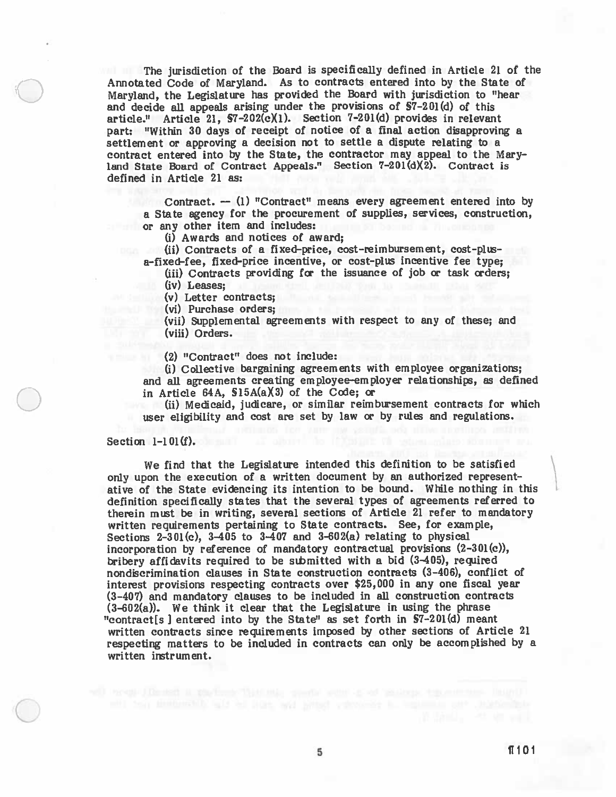The jurisdiction of the Board is specifically defined in Article <sup>21</sup> of the Annotated Code of Maryland. As to contracts entered into by the State of Maryland, the Legislature has provided the Board with jurisdiction to "hear and decide all appeals arising under the provisions of §7—201(d) of this article." Article 21,  $$7-202(c)(1)$ . Section  $7-201(d)$  provides in relevant part: "Within <sup>30</sup> days of receipt of notice of <sup>a</sup> final action disapproving <sup>a</sup> settlement or approving <sup>a</sup> decision not to settle <sup>a</sup> dispute relating to <sup>a</sup> contract entered into by the State, the contractor may appeal to the Mary land State Board of Contract Appeals." Section 7—201(dX2). Contract is defined in Article 21 as:

Contract. — (1) "Contract" means every agreemen<sup>t</sup> entered into by a State agency for the procurement of supplies, services, construction, or any other item and includes:

(i) Awards and notices of award;

(ii) Contracts of <sup>a</sup> fixed—price, cost—reimbursement, cost—plus a-fixed-fee, fixed-price incentive, or cost—plus incentive fee type;

(iii) Contracts providing for the issuance of job or task orders;

(iv) Leases;

(v) Letter contracts;

(vi) Purchase orders;

(vii) Supplemental agreements with respec<sup>t</sup> to any of these; and (viii) Orders.

(2) "Contract" does not include:

U) Collective bargaining agreements with employee organizations; and all agreements creating employee-employer relationships, as defined in Article 64A, §15A(aX3) of the Code; or

(ii) Medicaid, judicare, or similar reimbursement contracts for which user eligibility and cost are set by law or by rules and regulations.

#### Section  $1-1 \times 01$  (f).

We find that the Legislature intended this definition to be satisfied only upon the execution of <sup>a</sup> written document by an authorized represen<sup>t</sup> ative of the State evidencing its intention to be bound. While nothing in this definition specifically states that the several types of agreements referred to therein mist be in writing, several sections of Article 21 refer to mandatory written requirements pertaining to State contracts. See, for example, Sections  $2-301(c)$ ,  $3-405$  to  $3-407$  and  $3-602(a)$  relating to physical incorporation by reference of mandatory contractual provisions (2-301(c)), bribery affidavits required to be sthmitted with <sup>a</sup> bid (3405), required nondiscrimination clauses in State construction contracts (3—406), conflict of interest provisions respecting contracts over \$25,000 in any one fiscal year (3—407) and mandatory clauses to be included in all construction contracts (3—602(a)). We think it clear that the Legislature in using the <sup>p</sup>hrase "contract[s] entered into by the State" as set forth in §7—201(d) meant written contracts since requirements imposed by other sections of Article <sup>21</sup> respecting matters to be included in contracts can only be accomplished by <sup>a</sup> written instrument.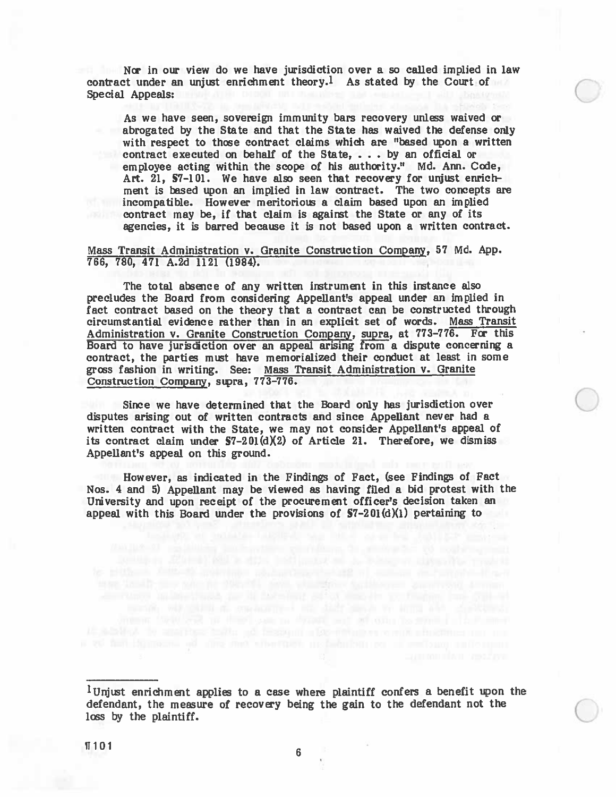Nor in our view do we have jurisdiction over a so called implied in law contract under an unjust enrichment theory.<sup>1</sup> As stated by the Court of Special Appeals:

As we have seen, sovereign immunity bars recovery unless waived or abrogated by the State and that the State has waived the defense only with respect to those contract claims which are "based upon a written contract executed on behalf of the State, . . . by an official or employee acting within the scope of his authority." Md. Ann. Code, Art. 21, §7-101. We have also seen that recovery for unjust enrich ment is based upon an implied in law contract. The two concepts are incompatible. However meritorious <sup>a</sup> claim based upon an implied contract may be, if that claim is against the State or any of its agencies, it is barred because it is not based upon <sup>a</sup> written contract.

Mass Transit Administration V. Granite Construction Company, 57 Md. App. 766, 780, 471 A.2d 1121 (1984).

The total absence of any written instrument in this instance also precludes the Board from considering Appellant's appeal under an implied in fact contract based on the theory that <sup>a</sup> contract can be constructed through circumstantial evidence rather than in an explicit set of words. Mass Transit Administration v. Granite Construction Company, supra, at 773—776. For this Board to have jurisdiction over an appeal arising from <sup>a</sup> dispute concerning <sup>a</sup> contract, the parties must have memorialized their conduct at least in some grcss fashion in writing. See: Mass Transit Administration v. Granite Construction Company, sipra, 773-776.

Since we have determined that the Board only has jurisdiction over disputes arising out of written contracts and since Appellant never had a written contract with the State, we may not consider Appellant's appeal of its contract claim under  $S7-201(d)(2)$  of Article 21. Therefore, we dismiss Appellant's appeal on this ground.

However, as indicated in the Findings of Fact, (see Findings of Fact Nos. 4 and 5) Appellant may be viewed as having filed a bid protest with the University and upon receipt of the procuremen<sup>t</sup> officer's decision taken an appeal with this Board under the provisions of  $S7-201(d)(1)$  pertaining to

 $1$ Unjust enrichment applies to a case where plaintiff confers a benefit upon the defendant, the measure of recovery being the gain to the defendant not the loss by the plaintiff.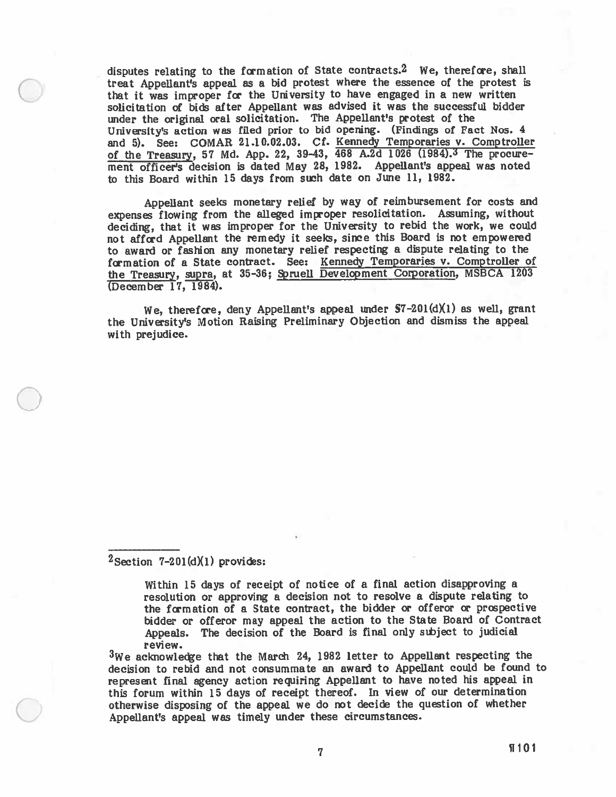disputes relating to the formation of State contracts.<sup>2</sup> We, therefore, shall treat Appellant's appea<sup>l</sup> as <sup>a</sup> bid protest where the essence of the protest is that it was improper for the University to have engaged in a new written solicitation of bids after Appellant was advised it was the successful bidder under the original oral solicitation. The Appellant's protest of the University's action was filed prior to bid opening. (Findings of Fact Nos. <sup>4</sup> and 5). See: COMAR 21.10.02.03. Cf. Kennedy Temporaries v. Comptroller of the Treasury, 57 Md. App. 22, 39-43, 468 A.2d 1026 (1984). The procurement officer's decision is dated May 28, 1982. Appellant's appeal was noted to this Board within 15 days from such date on June 11, 1982.

Appellant seeks monetary relief by way of reimbursement for costs and expenses flowing from the alleged improper resolicitation. Assuming, without deciding, that it was improper for the University to rebid the work, we could not afford Appellant the remedy it seeks, since this Board is not empowere<sup>d</sup> to award or fashion any monetary relief respecting <sup>a</sup> dispute relating to the formation of <sup>a</sup> State contract. See: Kennedy Temporaries v. Comptroller of the Treasury, supra, at 35-36; Spruell Development Corporation, MSBCA 1203 (December 17, 1984).

We, therefore, deny Appellant's appeal under  $S7-201(d)(1)$  as well, grant the University's Motion Raising Preliminary Objection and dismiss the appea<sup>l</sup> with prejudice.

 $2$ Section 7-201(d)(1) provides:

Within 15 days of receipt of notice of <sup>a</sup> final action disapproving <sup>a</sup> resolution or approving <sup>a</sup> decision not to resolve <sup>a</sup> dispute relating to the formation of a State contract, the bidder or offeror or prospective bidder or offeror may appeal the action to the State Board of Contract Appeals. The decision of the Board is final only stbject to judicial review.

 $3$ We acknowledge that the March 24, 1982 letter to Appellant respecting the decision to rebid and not consummate an award to Appellant could be found to represen<sup>t</sup> final agency action requiring Appellant to have noted his appea<sup>l</sup> in this forum within <sup>15</sup> days of receipt thereof. In view of our determination otherwise disposing of the appea<sup>l</sup> we do not decide the question of whether Appellant's appea<sup>l</sup> was timely under these circumstances.